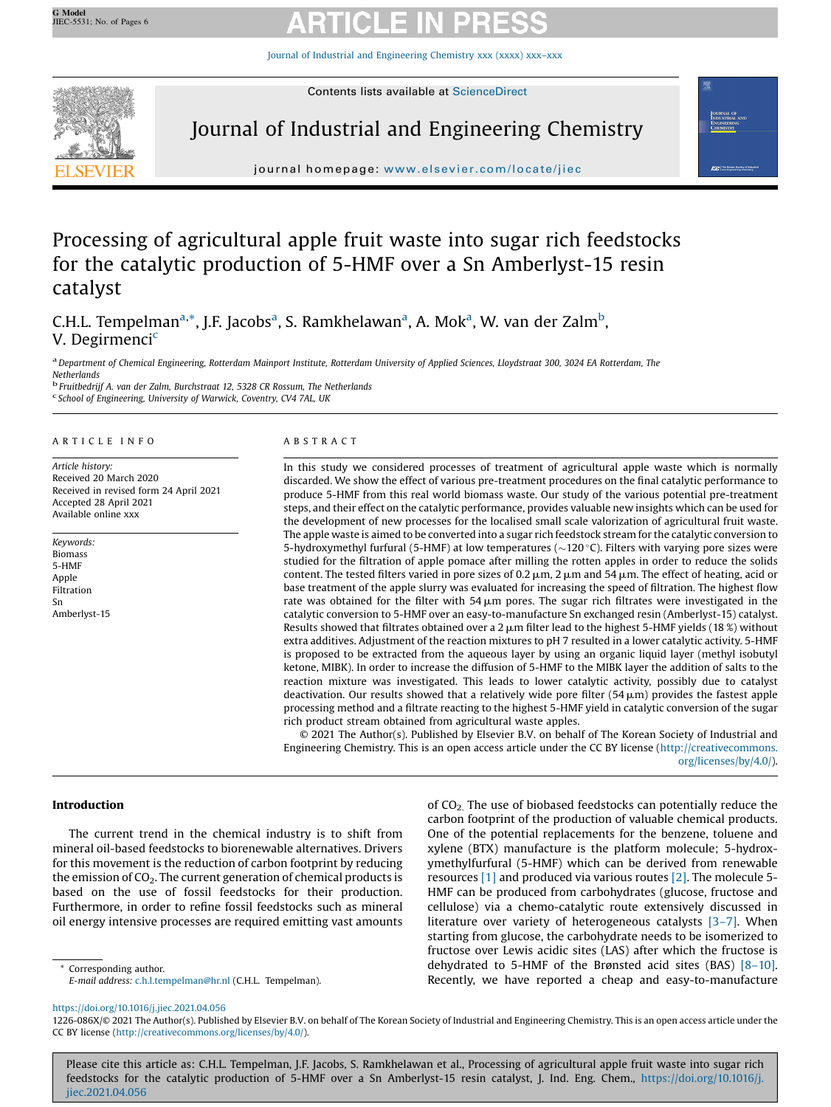Journal of Industrial and [Engineering](https://doi.org/10.1016/j.jiec.2021.04.056) Chemistry xxx (xxxx) xxx–xxx



# Journal of Industrial and Engineering Chemistry



journal homepage: where  $j$ 

# Processing of agricultural apple fruit waste into sugar rich feedstocks for the catalytic production of 5-HMF over a Sn Amberlyst-15 resin catalyst

C.H.L. Tempelman<sup>a,\*</sup>, J.F. Jacobs<sup>a</sup>, S. Ramkhelawan<sup>a</sup>, A. Mok<sup>a</sup>, W. van der Zalm<sup>b</sup>, V. Degirmenci<sup>c</sup>

a Department of Chemical Engineering, Rotterdam Mainport Institute, Rotterdam University of Applied Sciences, Lloydstraat 300, 3024 EA Rotterdam, The

Netherlands

<sup>b</sup> Fruitbedrijf A. van der Zalm, Burchstraat 12, <sup>5328</sup> CR Rossum, The Netherlands <sup>c</sup>  $\epsilon$  School of Engineering, University of Warwick, Coventry, CV4 7AL, UK

### A R T I C L E I N F O

Article history: Received 20 March 2020 Received in revised form 24 April 2021 Accepted 28 April 2021 Available online xxx

Keywords: Biomass 5-HMF Apple Filtration Sn Amberlyst-15

### A B S T R A C T

In this study we considered processes of treatment of agricultural apple waste which is normally discarded. We show the effect of various pre-treatment procedures on the final catalytic performance to produce 5-HMF from this real world biomass waste. Our study of the various potential pre-treatment steps, and their effect on the catalytic performance, provides valuable new insights which can be used for the development of new processes for the localised small scale valorization of agricultural fruit waste. The apple waste is aimed to be converted into a sugar rich feedstock stream for the catalytic conversion to 5-hydroxymethyl furfural (5-HMF) at low temperatures ( $\sim$ 120 $\degree$ C). Filters with varying pore sizes were studied for the filtration of apple pomace after milling the rotten apples in order to reduce the solids content. The tested filters varied in pore sizes of 0.2  $\mu$ m, 2  $\mu$ m and 54  $\mu$ m. The effect of heating, acid or base treatment of the apple slurry was evaluated for increasing the speed of filtration. The highest flow rate was obtained for the filter with  $54 \mu m$  pores. The sugar rich filtrates were investigated in the catalytic conversion to 5-HMF over an easy-to-manufacture Sn exchanged resin (Amberlyst-15) catalyst. Results showed that filtrates obtained over a 2  $\mu$ m filter lead to the highest 5-HMF yields (18 %) without extra additives. Adjustment of the reaction mixtures to pH 7 resulted in a lower catalytic activity. 5-HMF is proposed to be extracted from the aqueous layer by using an organic liquid layer (methyl isobutyl ketone, MIBK). In order to increase the diffusion of 5-HMF to the MIBK layer the addition of salts to the reaction mixture was investigated. This leads to lower catalytic activity, possibly due to catalyst deactivation. Our results showed that a relatively wide pore filter  $(54 \,\mu m)$  provides the fastest apple processing method and a filtrate reacting to the highest 5-HMF yield in catalytic conversion of the sugar rich product stream obtained from agricultural waste apples.

© 2021 The Author(s). Published by Elsevier B.V. on behalf of The Korean Society of Industrial and Engineering Chemistry. This is an open access article under the CC BY license [\(http://creativecommons.](http://creativecommons.org/licenses/by/4.0/) [org/licenses/by/4.0/](http://creativecommons.org/licenses/by/4.0/)).

# Introduction

The current trend in the chemical industry is to shift from mineral oil-based feedstocks to biorenewable alternatives. Drivers for this movement is the reduction of carbon footprint by reducing the emission of  $CO<sub>2</sub>$ . The current generation of chemical products is based on the use of fossil feedstocks for their production. Furthermore, in order to refine fossil feedstocks such as mineral oil energy intensive processes are required emitting vast amounts

Corresponding author.

E-mail address: [c.h.l.tempelman@hr.nl](mailto:c.h.l.tempelman@hr.nl) (C.H.L. Tempelman).

of CO<sub>2</sub>. The use of biobased feedstocks can potentially reduce the carbon footprint of the production of valuable chemical products. One of the potential replacements for the benzene, toluene and xylene (BTX) manufacture is the platform molecule; 5-hydroxymethylfurfural (5-HMF) which can be derived from renewable resources [\[1\]](#page-5-0) and produced via various routes [\[2\]](#page-5-0). The molecule 5- HMF can be produced from carbohydrates (glucose, fructose and cellulose) via a chemo-catalytic route extensively discussed in literature over variety of heterogeneous catalysts [\[3](#page-5-0)-7]. When starting from glucose, the carbohydrate needs to be isomerized to fructose over Lewis acidic sites (LAS) after which the fructose is dehydrated to 5-HMF of the Brønsted acid sites (BAS) [8–[10\].](#page-5-0) Recently, we have reported a cheap and easy-to-manufacture

<https://doi.org/10.1016/j.jiec.2021.04.056>

1226-086X/© 2021 The Author(s). Published by Elsevier B.V. on behalf of The Korean Society of Industrial and Engineering Chemistry. This is an open access article under the CC BY license [\(http://creativecommons.org/licenses/by/4.0/\)](http://creativecommons.org/licenses/by/4.0/).

Please cite this article as: C.H.L. Tempelman, J.F. Jacobs, S. Ramkhelawan et al., Processing of agricultural apple fruit waste into sugar rich feedstocks for the catalytic production of 5-HMF over a Sn Amberlyst-15 resin catalyst, J. Ind. Eng. Chem., [https://doi.org/10.1016/j.](https://doi.org/10.1016/j.jiec.2021.04.056) [jiec.2021.04.056](https://doi.org/10.1016/j.jiec.2021.04.056)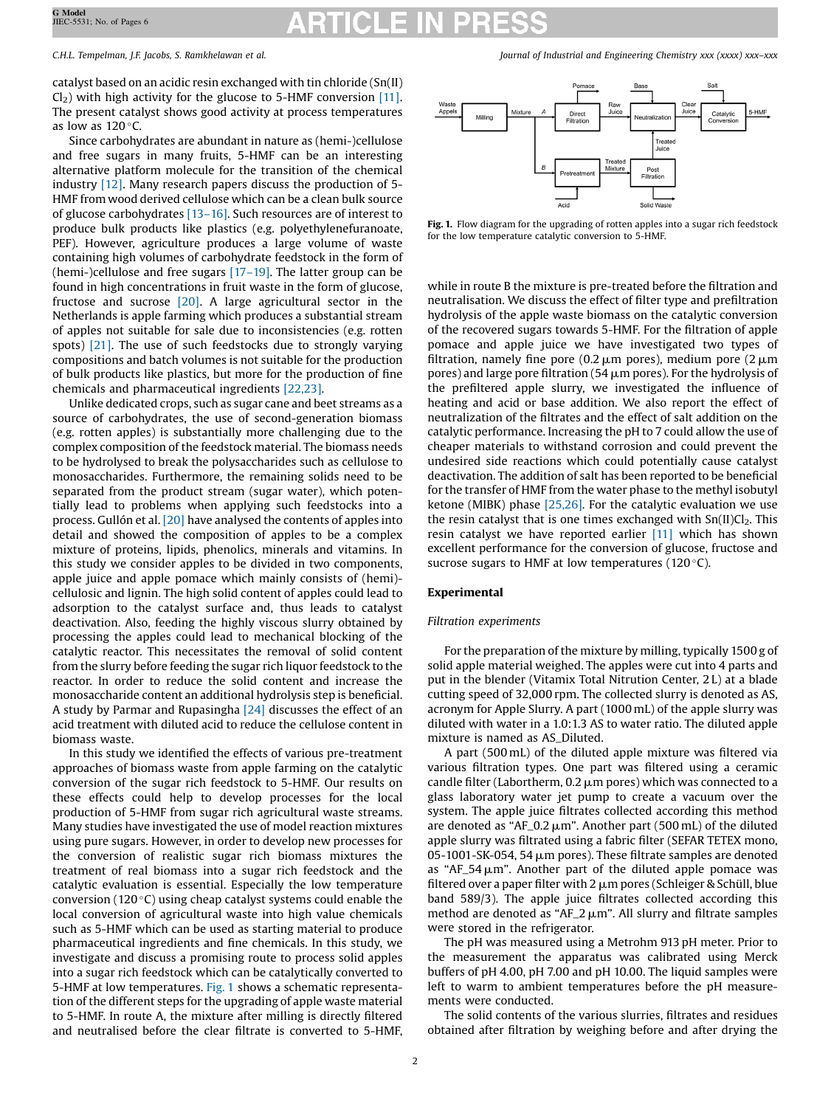catalyst based on an acidic resin exchanged with tin chloride (Sn(II)  $Cl<sub>2</sub>$ ) with high activity for the glucose to 5-HMF conversion [\[11\]](#page-5-0). The present catalyst shows good activity at process temperatures as low as  $120^{\circ}$ C.

Since carbohydrates are abundant in nature as (hemi-)cellulose and free sugars in many fruits, 5-HMF can be an interesting alternative platform molecule for the transition of the chemical industry [\[12\].](#page-5-0) Many research papers discuss the production of 5- HMF from wood derived cellulose which can be a clean bulk source of glucose carbohydrates [\[13](#page-5-0)–16]. Such resources are of interest to produce bulk products like plastics (e.g. polyethylenefuranoate, PEF). However, agriculture produces a large volume of waste containing high volumes of carbohydrate feedstock in the form of (hemi-)cellulose and free sugars [17–[19\]](#page-5-0). The latter group can be found in high concentrations in fruit waste in the form of glucose, fructose and sucrose [\[20\]](#page-5-0). A large agricultural sector in the Netherlands is apple farming which produces a substantial stream of apples not suitable for sale due to inconsistencies (e.g. rotten spots) [\[21\].](#page-5-0) The use of such feedstocks due to strongly varying compositions and batch volumes is not suitable for the production of bulk products like plastics, but more for the production of fine chemicals and pharmaceutical ingredients [\[22,23\].](#page-5-0)

Unlike dedicated crops, such as sugar cane and beet streams as a source of carbohydrates, the use of second-generation biomass (e.g. rotten apples) is substantially more challenging due to the complex composition of the feedstock material. The biomass needs to be hydrolysed to break the polysaccharides such as cellulose to monosaccharides. Furthermore, the remaining solids need to be separated from the product stream (sugar water), which potentially lead to problems when applying such feedstocks into a process. Gullón et al. [\[20\]](#page-5-0) have analysed the contents of apples into detail and showed the composition of apples to be a complex mixture of proteins, lipids, phenolics, minerals and vitamins. In this study we consider apples to be divided in two components, apple juice and apple pomace which mainly consists of (hemi) cellulosic and lignin. The high solid content of apples could lead to adsorption to the catalyst surface and, thus leads to catalyst deactivation. Also, feeding the highly viscous slurry obtained by processing the apples could lead to mechanical blocking of the catalytic reactor. This necessitates the removal of solid content from the slurry before feeding the sugar rich liquor feedstock to the reactor. In order to reduce the solid content and increase the monosaccharide content an additional hydrolysis step is beneficial. A study by Parmar and Rupasingha [\[24\]](#page-5-0) discusses the effect of an acid treatment with diluted acid to reduce the cellulose content in biomass waste.

In this study we identified the effects of various pre-treatment approaches of biomass waste from apple farming on the catalytic conversion of the sugar rich feedstock to 5-HMF. Our results on these effects could help to develop processes for the local production of 5-HMF from sugar rich agricultural waste streams. Many studies have investigated the use of model reaction mixtures using pure sugars. However, in order to develop new processes for the conversion of realistic sugar rich biomass mixtures the treatment of real biomass into a sugar rich feedstock and the catalytic evaluation is essential. Especially the low temperature conversion (120 $\degree$ C) using cheap catalyst systems could enable the local conversion of agricultural waste into high value chemicals such as 5-HMF which can be used as starting material to produce pharmaceutical ingredients and fine chemicals. In this study, we investigate and discuss a promising route to process solid apples into a sugar rich feedstock which can be catalytically converted to 5-HMF at low temperatures. Fig. 1 shows a schematic representation of the different steps for the upgrading of apple waste material to 5-HMF. In route A, the mixture after milling is directly filtered and neutralised before the clear filtrate is converted to 5-HMF,

<span id="page-1-0"></span>C.H.L. Tempelman, J.F. Jacobs, S. Ramkhelawan et al. Journal of Industrial and Engineering Chemistry xxx (xxxx) xxx–xxx



Fig. 1. Flow diagram for the upgrading of rotten apples into a sugar rich feedstock for the low temperature catalytic conversion to 5-HMF.

while in route B the mixture is pre-treated before the filtration and neutralisation. We discuss the effect of filter type and prefiltration hydrolysis of the apple waste biomass on the catalytic conversion of the recovered sugars towards 5-HMF. For the filtration of apple pomace and apple juice we have investigated two types of filtration, namely fine pore (0.2  $\mu$ m pores), medium pore (2  $\mu$ m pores) and large pore filtration (54  $\mu$ m pores). For the hydrolysis of the prefiltered apple slurry, we investigated the influence of heating and acid or base addition. We also report the effect of neutralization of the filtrates and the effect of salt addition on the catalytic performance. Increasing the pH to 7 could allow the use of cheaper materials to withstand corrosion and could prevent the undesired side reactions which could potentially cause catalyst deactivation. The addition of salt has been reported to be beneficial for the transfer of HMF from the water phase to the methyl isobutyl ketone (MIBK) phase [\[25,26\]](#page-5-0). For the catalytic evaluation we use the resin catalyst that is one times exchanged with  $Sn(II)Cl<sub>2</sub>$ . This resin catalyst we have reported earlier [\[11\]](#page-5-0) which has shown excellent performance for the conversion of glucose, fructose and sucrose sugars to HMF at low temperatures ( $120^{\circ}$ C).

### Experimental

### Filtration experiments

For the preparation of the mixture by milling, typically 1500 g of solid apple material weighed. The apples were cut into 4 parts and put in the blender (Vitamix Total Nitrution Center, 2 L) at a blade cutting speed of 32,000 rpm. The collected slurry is denoted as AS, acronym for Apple Slurry. A part (1000 mL) of the apple slurry was diluted with water in a 1.0:1.3 AS to water ratio. The diluted apple mixture is named as AS\_Diluted.

A part (500 mL) of the diluted apple mixture was filtered via various filtration types. One part was filtered using a ceramic candle filter (Labortherm,  $0.2 \mu m$  pores) which was connected to a glass laboratory water jet pump to create a vacuum over the system. The apple juice filtrates collected according this method are denoted as "AF\_0.2  $\mu$ m". Another part (500 mL) of the diluted apple slurry was filtrated using a fabric filter (SEFAR TETEX mono, 05-1001-SK-054, 54  $\mu$ m pores). These filtrate samples are denoted as "AF\_54 $\mu$ m". Another part of the diluted apple pomace was filtered over a paper filter with 2  $\mu$ m pores (Schleiger & Schüll, blue band 589/3). The apple juice filtrates collected according this method are denoted as " $AF_2 \mu m$ ". All slurry and filtrate samples were stored in the refrigerator.

The pH was measured using a Metrohm 913 pH meter. Prior to the measurement the apparatus was calibrated using Merck buffers of pH 4.00, pH 7.00 and pH 10.00. The liquid samples were left to warm to ambient temperatures before the pH measurements were conducted.

The solid contents of the various slurries, filtrates and residues obtained after filtration by weighing before and after drying the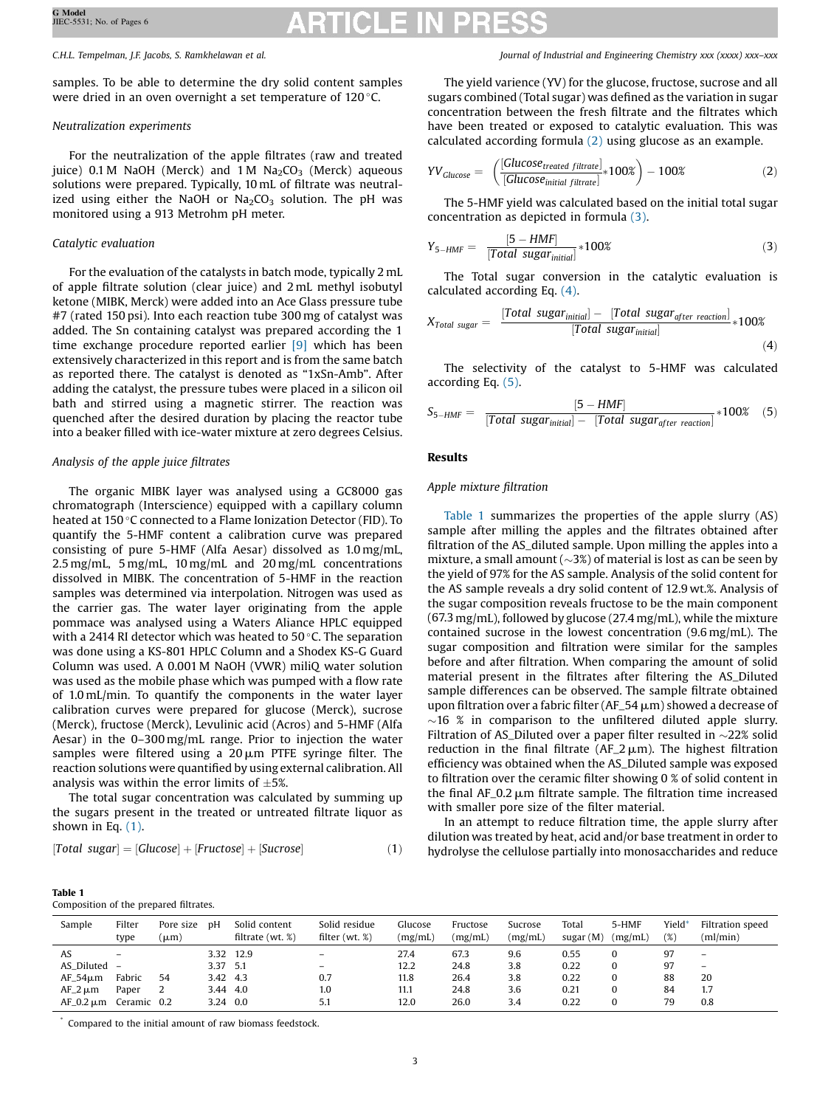samples. To be able to determine the dry solid content samples were dried in an oven overnight a set temperature of  $120^{\circ}$ C.

# Neutralization experiments

For the neutralization of the apple filtrates (raw and treated juice) 0.1 M NaOH (Merck) and 1 M  $Na<sub>2</sub>CO<sub>3</sub>$  (Merck) aqueous solutions were prepared. Typically, 10 mL of filtrate was neutralized using either the NaOH or  $Na<sub>2</sub>CO<sub>3</sub>$  solution. The pH was monitored using a 913 Metrohm pH meter.

# Catalytic evaluation

For the evaluation of the catalysts in batch mode, typically 2 mL of apple filtrate solution (clear juice) and 2 mL methyl isobutyl ketone (MIBK, Merck) were added into an Ace Glass pressure tube #7 (rated 150 psi). Into each reaction tube 300 mg of catalyst was added. The Sn containing catalyst was prepared according the 1 time exchange procedure reported earlier [\[9\]](#page-5-0) which has been extensively characterized in this report and is from the same batch as reported there. The catalyst is denoted as "1xSn-Amb". After adding the catalyst, the pressure tubes were placed in a silicon oil bath and stirred using a magnetic stirrer. The reaction was quenched after the desired duration by placing the reactor tube into a beaker filled with ice-water mixture at zero degrees Celsius.

# Analysis of the apple juice filtrates

The organic MIBK layer was analysed using a GC8000 gas chromatograph (Interscience) equipped with a capillary column heated at 150 °C connected to a Flame Ionization Detector (FID). To quantify the 5-HMF content a calibration curve was prepared consisting of pure 5-HMF (Alfa Aesar) dissolved as 1.0 mg/mL, 2.5 mg/mL, 5 mg/mL, 10 mg/mL and 20 mg/mL concentrations dissolved in MIBK. The concentration of 5-HMF in the reaction samples was determined via interpolation. Nitrogen was used as the carrier gas. The water layer originating from the apple pommace was analysed using a Waters Aliance HPLC equipped with a 2414 RI detector which was heated to 50 $\degree$ C. The separation was done using a KS-801 HPLC Column and a Shodex KS-G Guard Column was used. A 0.001 M NaOH (VWR) miliQ water solution was used as the mobile phase which was pumped with a flow rate of 1.0 mL/min. To quantify the components in the water layer calibration curves were prepared for glucose (Merck), sucrose (Merck), fructose (Merck), Levulinic acid (Acros) and 5-HMF (Alfa Aesar) in the 0–300 mg/mL range. Prior to injection the water samples were filtered using a  $20 \mu m$  PTFE syringe filter. The reaction solutions were quantified by using external calibration. All analysis was within the error limits of  $\pm 5\%$ .

The total sugar concentration was calculated by summing up the sugars present in the treated or untreated filtrate liquor as shown in Eq.  $(1)$ .

$$
[Total sugar] = [Glucose] + [Fructose] + [Sucrose]
$$
\n(1)

<span id="page-2-0"></span>C.H.L. Tempelman, J.F. Jacobs, S. Ramkhelawan et al. Journal of Industrial and Engineering Chemistry xxx (xxxx) xxx–xxx

The yield varience (YV) for the glucose, fructose, sucrose and all sugars combined (Total sugar) was defined as the variation in sugar concentration between the fresh filtrate and the filtrates which have been treated or exposed to catalytic evaluation. This was calculated according formula (2) using glucose as an example.

$$
YV_{Glucose} = \left(\frac{[Glucose_{treated\ filter}]_{*}100\%}{[Glucose_{initial\ filter}]_{*}100\%}\right) - 100\%
$$
 (2)

The 5-HMF yield was calculated based on the initial total sugar concentration as depicted in formula (3).

$$
Y_{5-HMF} = \frac{[5 - HMF]}{[Total sugar_{initial}]} * 100\%
$$
 (3)

The Total sugar conversion in the catalytic evaluation is calculated according Eq. (4).

$$
X_{Total\ sugar} = \frac{[Total\ sugar_{initial}] - [Total\ sugar_{after\ reaction}]}{[Total\ sugar_{initial}]} * 100\%
$$
\n(4)

The selectivity of the catalyst to 5-HMF was calculated according Eq. (5).

$$
S_{5-HMF} = \frac{[5-HMF]}{[Total sugar_{initial}] - [Total sugar_{after reaction}]} * 100\% \quad (5)
$$

# Results

# Apple mixture filtration

Table 1 summarizes the properties of the apple slurry (AS) sample after milling the apples and the filtrates obtained after filtration of the AS\_diluted sample. Upon milling the apples into a mixture, a small amount  $(\sim 3\%)$  of material is lost as can be seen by the yield of 97% for the AS sample. Analysis of the solid content for the AS sample reveals a dry solid content of 12.9 wt.%. Analysis of the sugar composition reveals fructose to be the main component (67.3 mg/mL), followed by glucose (27.4 mg/mL), while the mixture contained sucrose in the lowest concentration (9.6 mg/mL). The sugar composition and filtration were similar for the samples before and after filtration. When comparing the amount of solid material present in the filtrates after filtering the AS\_Diluted sample differences can be observed. The sample filtrate obtained upon filtration over a fabric filter (AF\_54  $\mu$ m) showed a decrease of  $\sim$ 16 % in comparison to the unfiltered diluted apple slurry. Filtration of AS\_Diluted over a paper filter resulted in  $\sim$ 22% solid reduction in the final filtrate ( $AF_2 \mu m$ ). The highest filtration efficiency was obtained when the AS\_Diluted sample was exposed to filtration over the ceramic filter showing 0 % of solid content in the final  $AF_0.2 \mu m$  filtrate sample. The filtration time increased with smaller pore size of the filter material.

In an attempt to reduce filtration time, the apple slurry after dilution was treated by heat, acid and/or base treatment in order to hydrolyse the cellulose partially into monosaccharides and reduce

> Filtration speed (ml/min)

|                | Composition of the prepared filtrates. |                   |          |                                     |                                   |                    |                     |                    |                      |                  |                 |                          |
|----------------|----------------------------------------|-------------------|----------|-------------------------------------|-----------------------------------|--------------------|---------------------|--------------------|----------------------|------------------|-----------------|--------------------------|
| Sample         | Filter<br>type                         | Pore size<br>(աm) | рH       | Solid content<br>filtrate $(wt, %)$ | Solid residue<br>filter $(wt, %)$ | Glucose<br>(mg/mL) | Fructose<br>(mg/mL) | Sucrose<br>(mg/mL) | Total<br>sugar $(M)$ | 5-HMF<br>(mg/mL) | Yield<br>$(\%)$ | Filt<br>m)               |
| AS             |                                        |                   |          | 3.32 12.9                           | $\qquad \qquad -$                 | 27.4               | 67.3                | 9.6                | 0.55                 |                  | 97              |                          |
| AS Diluted -   |                                        |                   | 3.37 5.1 |                                     | $\overline{\phantom{m}}$          | 12.2               | 24.8                | 3.8                | 0.22                 | 0                | 97              | $\overline{\phantom{0}}$ |
| $AF_54\mu m$   | Fabric                                 | 54                | 3.42 4.3 |                                     | 0.7                               | 11.8               | 26.4                | 3.8                | 0.22                 | 0                | 88              | 20                       |
| $AF_2 \mu m$   | Paper                                  | 2                 | 3.44 4.0 |                                     | 1.0                               | 11.1               | 24.8                | 3.6                | 0.21                 | 0                | 84              | 1.7                      |
| $AF_0.2 \mu m$ | Ceramic 0.2                            |                   | 3.24 0.0 |                                     | 5.1                               | 12.0               | 26.0                | 3.4                | 0.22                 |                  | 79              | 0.8                      |

\* Compared to the initial amount of raw biomass feedstock.

Table 1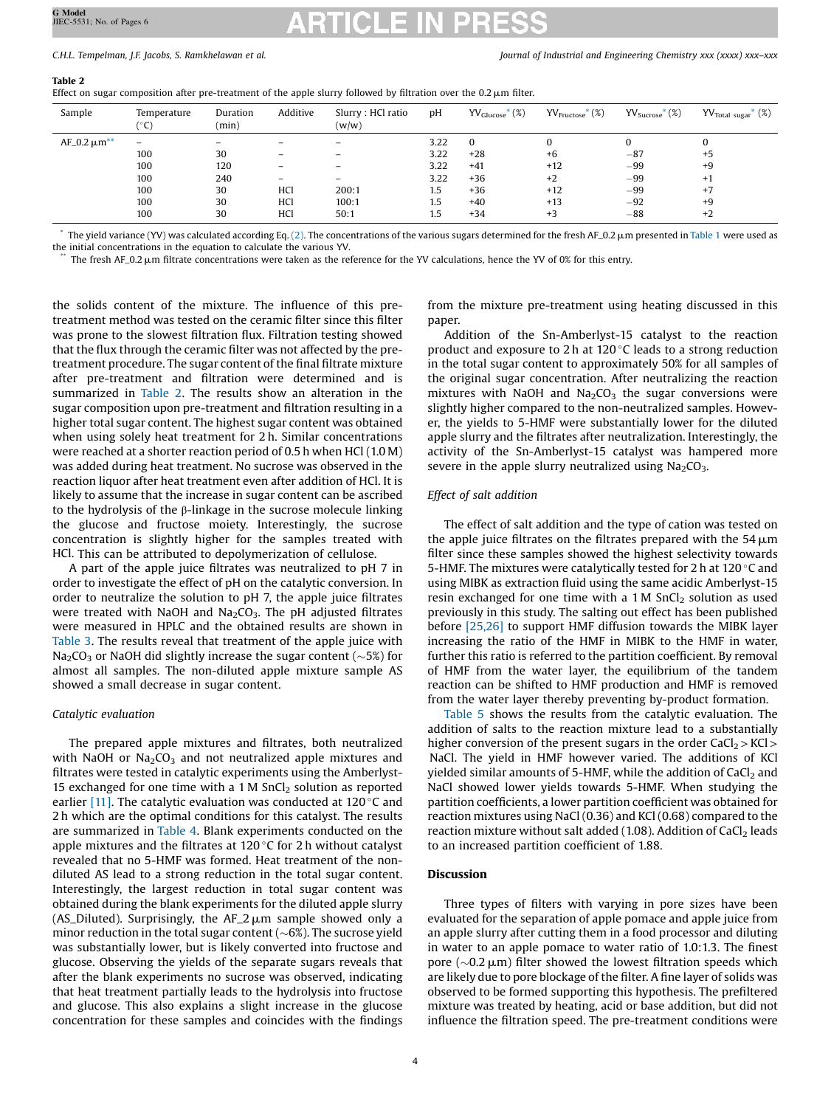### C.H.L. Tempelman, J.F. Jacobs, S. Ramkhelawan et al. Journal of Industrial and Engineering Chemistry xxx (xxxx) xxx–xxx

### Table 2

Effect on sugar composition after pre-treatment of the apple slurry followed by filtration over the  $0.2 \mu m$  filter.

| Sample              | Temperature<br>$^{\circ}$ C)                       | Duration<br>(min)                  | Additive                                                                            | Slurry : HCl ratio<br>(w/w)                                                                                                     | pH                                                        | $\text{YV}_{\text{Glucose}}^*$ (%)                             | $\text{YV}_{\text{Fructose}}^{*}$ (%)           | $\text{YV}_{\text{Success}}^{*}$ (%)               | $\text{YV}_{\text{Total sugar}}^*$ (%)       |
|---------------------|----------------------------------------------------|------------------------------------|-------------------------------------------------------------------------------------|---------------------------------------------------------------------------------------------------------------------------------|-----------------------------------------------------------|----------------------------------------------------------------|-------------------------------------------------|----------------------------------------------------|----------------------------------------------|
| $AF_0.2 \mu m^{**}$ | $\equiv$<br>100<br>100<br>100<br>100<br>100<br>100 | 30<br>120<br>240<br>30<br>30<br>30 | -<br>-<br>$\overline{\phantom{0}}$<br>$\overline{\phantom{0}}$<br>HCl<br>HCl<br>HCl | $\overline{\phantom{0}}$<br>$\overline{\phantom{0}}$<br>$\overline{\phantom{0}}$<br>$\qquad \qquad =$<br>200:1<br>100:1<br>50:1 | 3.22<br>3.22<br>3.22<br>3.22<br>$1.5\,$<br>$1.5\,$<br>1.5 | $\Omega$<br>$+28$<br>$+41$<br>$+36$<br>$+36$<br>$+40$<br>$+34$ | $+6$<br>$+12$<br>$+2$<br>$+12$<br>$+13$<br>$+3$ | $-87$<br>$-99$<br>$-99$<br>$-99$<br>$-92$<br>$-88$ | $+5$<br>$+9$<br>$+1$<br>$+7$<br>$+9$<br>$+2$ |

 $\degree$  The yield variance (YV) was calculated according Eq. [\(2\).](#page-2-0) The concentrations of the various sugars determined for the fresh AF\_0.2  $\mu$ m presented in [Table](#page-2-0) 1 were used as the initial concentrations in the equation to calculate the various YV.

The fresh AF\_0.2  $\mu$ m filtrate concentrations were taken as the reference for the YV calculations, hence the YV of 0% for this entry.

the solids content of the mixture. The influence of this pretreatment method was tested on the ceramic filter since this filter was prone to the slowest filtration flux. Filtration testing showed that the flux through the ceramic filter was not affected by the pretreatment procedure. The sugar content of the final filtrate mixture after pre-treatment and filtration were determined and is summarized in Table 2. The results show an alteration in the sugar composition upon pre-treatment and filtration resulting in a higher total sugar content. The highest sugar content was obtained when using solely heat treatment for 2 h. Similar concentrations were reached at a shorter reaction period of 0.5 h when HCl (1.0 M) was added during heat treatment. No sucrose was observed in the reaction liquor after heat treatment even after addition of HCl. It is likely to assume that the increase in sugar content can be ascribed to the hydrolysis of the β-linkage in the sucrose molecule linking the glucose and fructose moiety. Interestingly, the sucrose concentration is slightly higher for the samples treated with HCl. This can be attributed to depolymerization of cellulose.

A part of the apple juice filtrates was neutralized to pH 7 in order to investigate the effect of pH on the catalytic conversion. In order to neutralize the solution to pH 7, the apple juice filtrates were treated with NaOH and Na<sub>2</sub>CO<sub>3</sub>. The pH adjusted filtrates were measured in HPLC and the obtained results are shown in [Table](#page-4-0) 3. The results reveal that treatment of the apple juice with  $Na<sub>2</sub>CO<sub>3</sub>$  or NaOH did slightly increase the sugar content ( $\sim$ 5%) for almost all samples. The non-diluted apple mixture sample AS showed a small decrease in sugar content.

# Catalytic evaluation

The prepared apple mixtures and filtrates, both neutralized with NaOH or  $Na<sub>2</sub>CO<sub>3</sub>$  and not neutralized apple mixtures and filtrates were tested in catalytic experiments using the Amberlyst-15 exchanged for one time with a 1 M  $SnCl<sub>2</sub>$  solution as reported earlier [\[11\].](#page-5-0) The catalytic evaluation was conducted at 120 $\degree$ C and 2 h which are the optimal conditions for this catalyst. The results are summarized in [Table](#page-4-0) 4. Blank experiments conducted on the apple mixtures and the filtrates at  $120^{\circ}$ C for 2 h without catalyst revealed that no 5-HMF was formed. Heat treatment of the nondiluted AS lead to a strong reduction in the total sugar content. Interestingly, the largest reduction in total sugar content was obtained during the blank experiments for the diluted apple slurry (AS\_Diluted). Surprisingly, the AF\_2  $\mu$ m sample showed only a minor reduction in the total sugar content ( $\sim$ 6%). The sucrose yield was substantially lower, but is likely converted into fructose and glucose. Observing the yields of the separate sugars reveals that after the blank experiments no sucrose was observed, indicating that heat treatment partially leads to the hydrolysis into fructose and glucose. This also explains a slight increase in the glucose concentration for these samples and coincides with the findings

from the mixture pre-treatment using heating discussed in this paper.

Addition of the Sn-Amberlyst-15 catalyst to the reaction product and exposure to 2 h at 120 $\degree$ C leads to a strong reduction in the total sugar content to approximately 50% for all samples of the original sugar concentration. After neutralizing the reaction mixtures with NaOH and  $Na<sub>2</sub>CO<sub>3</sub>$  the sugar conversions were slightly higher compared to the non-neutralized samples. However, the yields to 5-HMF were substantially lower for the diluted apple slurry and the filtrates after neutralization. Interestingly, the activity of the Sn-Amberlyst-15 catalyst was hampered more severe in the apple slurry neutralized using  $Na<sub>2</sub>CO<sub>3</sub>$ .

# Effect of salt addition

The effect of salt addition and the type of cation was tested on the apple juice filtrates on the filtrates prepared with the  $54 \,\mathrm{\upmu m}$ filter since these samples showed the highest selectivity towards 5-HMF. The mixtures were catalytically tested for 2 h at 120 $\degree$ C and using MIBK as extraction fluid using the same acidic Amberlyst-15 resin exchanged for one time with a  $1 M$  SnCl<sub>2</sub> solution as used previously in this study. The salting out effect has been published before [\[25,26\]](#page-5-0) to support HMF diffusion towards the MIBK layer increasing the ratio of the HMF in MIBK to the HMF in water, further this ratio is referred to the partition coefficient. By removal of HMF from the water layer, the equilibrium of the tandem reaction can be shifted to HMF production and HMF is removed from the water layer thereby preventing by-product formation.

[Table](#page-4-0) 5 shows the results from the catalytic evaluation. The addition of salts to the reaction mixture lead to a substantially higher conversion of the present sugars in the order  $CaCl<sub>2</sub> > KCl$ NaCl. The yield in HMF however varied. The additions of KCl yielded similar amounts of 5-HMF, while the addition of  $CaCl<sub>2</sub>$  and NaCl showed lower yields towards 5-HMF. When studying the partition coefficients, a lower partition coefficient was obtained for reaction mixtures using NaCl (0.36) and KCl (0.68) compared to the reaction mixture without salt added (1.08). Addition of  $CaCl<sub>2</sub>$  leads to an increased partition coefficient of 1.88.

# Discussion

Three types of filters with varying in pore sizes have been evaluated for the separation of apple pomace and apple juice from an apple slurry after cutting them in a food processor and diluting in water to an apple pomace to water ratio of 1.0:1.3. The finest pore ( $\sim$ 0.2  $\mu$ m) filter showed the lowest filtration speeds which are likely due to pore blockage of the filter. A fine layer of solids was observed to be formed supporting this hypothesis. The prefiltered mixture was treated by heating, acid or base addition, but did not influence the filtration speed. The pre-treatment conditions were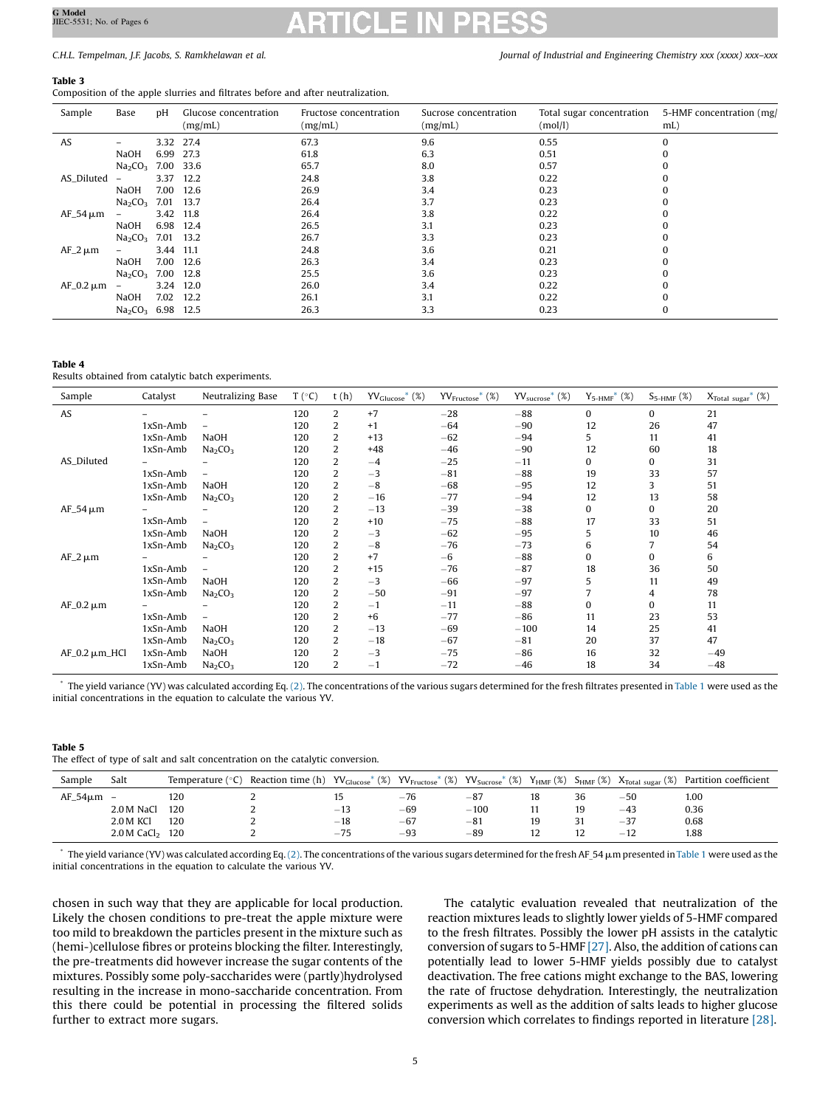# <span id="page-4-0"></span>C.H.L. Tempelman, J.F. Jacobs, S. Ramkhelawan et al. Journal of Industrial and Engineering Chemistry xxx (xxxx) xxx–xxx

# Table 3

Composition of the apple slurries and filtrates before and after neutralization.

| Sample         | Base                                      | υH   | Glucose concentration<br>(mg/mL) | Fructose concentration<br>(mg/mL) | Sucrose concentration<br>(mg/mL) | Total sugar concentration<br>(mol/l) | 5-HMF concentration (mg/<br>$mL$ ) |
|----------------|-------------------------------------------|------|----------------------------------|-----------------------------------|----------------------------------|--------------------------------------|------------------------------------|
| AS             |                                           |      | 3.32 27.4                        | 67.3                              | 9.6                              | 0.55                                 |                                    |
|                | NaOH                                      | 6.99 | 27.3                             | 61.8                              | 6.3                              | 0.51                                 |                                    |
|                | Na <sub>2</sub> CO <sub>3</sub>           |      | 7.00 33.6                        | 65.7                              | 8.0                              | 0.57                                 |                                    |
| AS_Diluted     | $\qquad \qquad -$                         | 3.37 | 12.2                             | 24.8                              | 3.8                              | 0.22                                 |                                    |
|                | <b>NaOH</b>                               | 7.00 | - 12.6                           | 26.9                              | 3.4                              | 0.23                                 |                                    |
|                | Na <sub>2</sub> CO <sub>3</sub>           |      | 7.01 13.7                        | 26.4                              | 3.7                              | 0.23                                 |                                    |
| $AF_54 \mu m$  | $\overline{\phantom{0}}$                  |      | 3.42 11.8                        | 26.4                              | 3.8                              | 0.22                                 |                                    |
|                | NaOH                                      | 6.98 | 12.4                             | 26.5                              | 3.1                              | 0.23                                 |                                    |
|                | Na <sub>2</sub> CO <sub>3</sub>           |      | 7.01 13.2                        | 26.7                              | 3.3                              | 0.23                                 |                                    |
| $AF_2 \mu m$   |                                           | 3.44 | 11.1                             | 24.8                              | 3.6                              | 0.21                                 |                                    |
|                | <b>NaOH</b>                               | 7.00 | 12.6                             | 26.3                              | 3.4                              | 0.23                                 |                                    |
|                | Na <sub>2</sub> CO <sub>3</sub>           |      | 7.00 12.8                        | 25.5                              | 3.6                              | 0.23                                 |                                    |
| $AF_0.2 \mu m$ | $\overline{\phantom{0}}$                  | 3.24 | 12.0                             | 26.0                              | 3.4                              | 0.22                                 |                                    |
|                | NaOH                                      | 7.02 | 12.2                             | 26.1                              | 3.1                              | 0.22                                 |                                    |
|                | Na <sub>2</sub> CO <sub>3</sub> 6.98 12.5 |      |                                  | 26.3                              | 3.3                              | 0.23                                 | 0                                  |

### Table 4

Results obtained from catalytic batch experiments.

| Sample             | Catalyst | Neutralizing Base               | $T (^{\circ}C)$ | t(h) | $\text{YV}_{\text{Glucose}}^*$ (%) | $\text{YV}_{\text{Fructose}}^*$ (%) | $\text{YV}_{\text{success}}^*$ (%) | $Y_{5-HMF}^*$ (%) | $S_{5-HMF}$ (%) | $X_{\text{Total sugar}}^*$ (%) |
|--------------------|----------|---------------------------------|-----------------|------|------------------------------------|-------------------------------------|------------------------------------|-------------------|-----------------|--------------------------------|
| AS                 |          |                                 | 120             | 2    | $+7$                               | $-28$                               | $-88$                              | $\bf{0}$          | $\mathbf{0}$    | 21                             |
|                    | 1xSn-Amb |                                 | 120             |      | $+1$                               | $-64$                               | $-90$                              | 12                | 26              | 47                             |
|                    | 1xSn-Amb | <b>NaOH</b>                     | 120             |      | $+13$                              | $-62$                               | $-94$                              | 5                 | 11              | 41                             |
|                    | 1xSn-Amb | Na <sub>2</sub> CO <sub>3</sub> | 120             |      | $+48$                              | $-46$                               | $-90$                              | 12                | 60              | 18                             |
| AS_Diluted         |          |                                 | 120             |      | $-4$                               | $-25$                               | $-11$                              | $\Omega$          | 0               | 31                             |
|                    | 1xSn-Amb |                                 | 120             |      | $-3$                               | $-81$                               | $-88$                              | 19                | 33              | 57                             |
|                    | 1xSn-Amb | <b>NaOH</b>                     | 120             |      | $-8$                               | $-68$                               | $-95$                              | 12                | 3               | 51                             |
|                    | 1xSn-Amb | Na <sub>2</sub> CO <sub>3</sub> | 120             |      | $-16$                              | $-77$                               | $-94$                              | 12                | 13              | 58                             |
| $AF_54 \mu m$      |          |                                 | 120             |      | $-13$                              | $-39$                               | $-38$                              | 0                 | 0               | 20                             |
|                    | 1xSn-Amb |                                 | 120             |      | $+10$                              | $-75$                               | $-88$                              | 17                | 33              | 51                             |
|                    | 1xSn-Amb | <b>NaOH</b>                     | 120             |      | $-3$                               | $-62$                               | $-95$                              | 5                 | 10              | 46                             |
|                    | 1xSn-Amb | Na <sub>2</sub> CO <sub>3</sub> | 120             |      | $-8$                               | $-76$                               | $-73$                              | 6                 |                 | 54                             |
| $AF_2 \mu m$       |          |                                 | 120             |      | $+7$                               | $-6$                                | $-88$                              | 0                 | $\Omega$        | 6                              |
|                    | 1xSn-Amb |                                 | 120             |      | $+15$                              | $-76$                               | $-87$                              | 18                | 36              | 50                             |
|                    | 1xSn-Amb | <b>NaOH</b>                     | 120             |      | $-3$                               | $-66$                               | $-97$                              | 5                 | 11              | 49                             |
|                    | 1xSn-Amb | Na <sub>2</sub> CO <sub>3</sub> | 120             |      | $-50$                              | $-91$                               | $-97$                              |                   | 4               | 78                             |
| $AF_0.2 \mu m$     |          |                                 | 120             |      | $-1$                               | $-11$                               | $-88$                              | 0                 | $\Omega$        | 11                             |
|                    | 1xSn-Amb |                                 | 120             |      | $+6$                               | $-77$                               | $-86$                              | 11                | 23              | 53                             |
|                    | 1xSn-Amb | <b>NaOH</b>                     | 120             |      | $-13$                              | $-69$                               | $-100$                             | 14                | 25              | 41                             |
|                    | 1xSn-Amb | Na <sub>2</sub> CO <sub>3</sub> | 120             |      | $-18$                              | $-67$                               | $-81$                              | 20                | 37              | 47                             |
| $AF_0.2 \mu m_HCl$ | 1xSn-Amb | NaOH                            | 120             |      | $-3$                               | $-75$                               | $-86$                              | 16                | 32              | $-49$                          |
|                    | 1xSn-Amb | Na <sub>2</sub> CO <sub>3</sub> | 120             | 2    | $-1$                               | $-72$                               | $-46$                              | 18                | 34              | $-48$                          |

The yield variance (YV) was calculated according Eq. [\(2\)](#page-2-0). The concentrations of the various sugars determined for the fresh filtrates presented in [Table](#page-2-0) 1 were used as the initial concentrations in the equation to calculate the various YV.

Table 5 The effect of type of salt and salt concentration on the catalytic conversion.

| Sample         | Salt                      | Temperature $(°C)$ | Reaction time (h) |       | $\rm{YY_{Glucose}}^*$ (%) $\rm{YY_{Fructose}}^*$ (%) | $\rm{YV_{Sucrose}}^{*}$ (%) | ${\rm Y}_{\rm HMF}$ (%) |     |       | $S_{HMF}$ (%) $X_{Total sugar}$ (%) Partition coefficient |
|----------------|---------------------------|--------------------|-------------------|-------|------------------------------------------------------|-----------------------------|-------------------------|-----|-------|-----------------------------------------------------------|
| $AF_54\mu m -$ |                           | 120                |                   | ıэ    | $-76$                                                | $-87$                       | 18                      | 36  | $-50$ | 1.00                                                      |
|                | 2.0 M NaCl                | 120                | ∼                 | $-13$ | $-69$                                                | $^{-100}$                   |                         | 19  | $-43$ | 0.36                                                      |
|                | <b>2.0 M KCI</b>          | 120                | ∼                 | $-18$ | $-67$                                                | $-81$                       | 19                      | - 1 | $-37$ | 0.68                                                      |
|                | $2.0 M$ CaCl <sub>2</sub> | 120                |                   | $-75$ | $-93$                                                | $-89$                       | 12                      | 12  | $-12$ | 1.88                                                      |

The yield variance (YV) was calculated according Eq. [\(2\)](#page-2-0). The concentrations of the various sugars determined for the fresh AF\_54  $\mu$ m presented in [Table](#page-2-0) 1 were used as the initial concentrations in the equation to calculate the various YV.

chosen in such way that they are applicable for local production. Likely the chosen conditions to pre-treat the apple mixture were too mild to breakdown the particles present in the mixture such as (hemi-)cellulose fibres or proteins blocking the filter. Interestingly, the pre-treatments did however increase the sugar contents of the mixtures. Possibly some poly-saccharides were (partly)hydrolysed resulting in the increase in mono-saccharide concentration. From this there could be potential in processing the filtered solids further to extract more sugars.

The catalytic evaluation revealed that neutralization of the reaction mixtures leads to slightly lower yields of 5-HMF compared to the fresh filtrates. Possibly the lower pH assists in the catalytic conversion of sugars to 5-HMF [\[27\]](#page-5-0). Also, the addition of cations can potentially lead to lower 5-HMF yields possibly due to catalyst deactivation. The free cations might exchange to the BAS, lowering the rate of fructose dehydration. Interestingly, the neutralization experiments as well as the addition of salts leads to higher glucose conversion which correlates to findings reported in literature [\[28\].](#page-5-0)